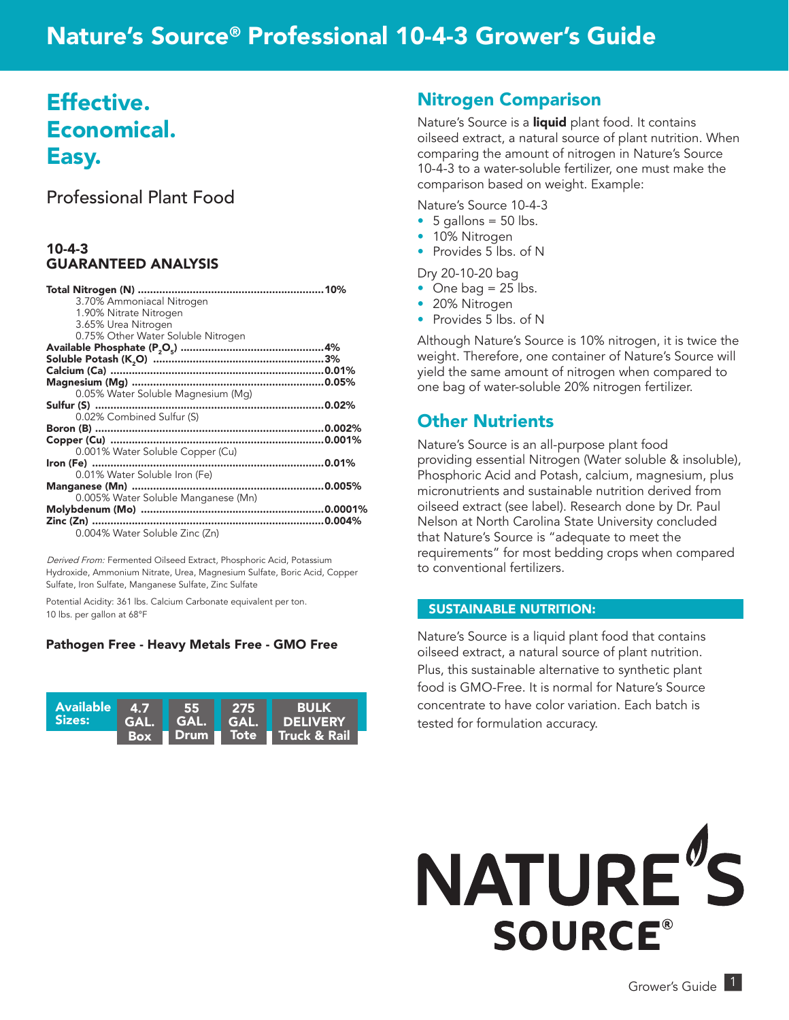# Nature's Source® Professional 10-4-3 Grower's Guide

# Effective. Economical. Easy.

## Professional Plant Food

#### 10-4-3 GUARANTEED ANALYSIS

| 3.70% Ammoniacal Nitrogen           |  |
|-------------------------------------|--|
| 1.90% Nitrate Nitrogen              |  |
| 3.65% Urea Nitrogen                 |  |
| 0.75% Other Water Soluble Nitrogen  |  |
|                                     |  |
|                                     |  |
|                                     |  |
|                                     |  |
| 0.05% Water Soluble Magnesium (Mg)  |  |
|                                     |  |
| 0.02% Combined Sulfur (S)           |  |
|                                     |  |
|                                     |  |
| 0.001% Water Soluble Copper (Cu)    |  |
|                                     |  |
| 0.01% Water Soluble Iron (Fe)       |  |
|                                     |  |
| 0.005% Water Soluble Manganese (Mn) |  |
|                                     |  |
|                                     |  |
| 0.004% Water Soluble Zinc (Zn)      |  |

Derived From: Fermented Oilseed Extract, Phosphoric Acid, Potassium Hydroxide, Ammonium Nitrate, Urea, Magnesium Sulfate, Boric Acid, Copper Sulfate, Iron Sulfate, Manganese Sulfate, Zinc Sulfate

Potential Acidity: 361 lbs. Calcium Carbonate equivalent per ton. 10 lbs. per gallon at 68°F

#### Pathogen Free - Heavy Metals Free - GMO Free

| <b>Available</b> | <b>A.7</b>  | LJ.         | 275         | <b>RULK</b>             |
|------------------|-------------|-------------|-------------|-------------------------|
| Sizes:           | <b>GAL.</b> | <b>GAL.</b> | GAL.        | <b>DELIVERY</b>         |
|                  | Box         | Drum l      | <b>Tote</b> | <b>Truck &amp; Rail</b> |

### Nitrogen Comparison

Nature's Source is a *liquid* plant food. It contains oilseed extract, a natural source of plant nutrition. When comparing the amount of nitrogen in Nature's Source 10-4-3 to a water-soluble fertilizer, one must make the comparison based on weight. Example:

Nature's Source 10-4-3

- $\bullet$  5 gallons = 50 lbs.
- 10% Nitrogen
- Provides 5 lbs. of N.

Dry 20-10-20 bag

- One bag  $= 25$  lbs.
- 20% Nitrogen
- Provides 5 lbs. of N

Although Nature's Source is 10% nitrogen, it is twice the weight. Therefore, one container of Nature's Source will yield the same amount of nitrogen when compared to one bag of water-soluble 20% nitrogen fertilizer.

## **Other Nutrients**

Nature's Source is an all-purpose plant food providing essential Nitrogen (Water soluble & insoluble), Phosphoric Acid and Potash, calcium, magnesium, plus micronutrients and sustainable nutrition derived from oilseed extract (see label). Research done by Dr. Paul Nelson at North Carolina State University concluded that Nature's Source is "adequate to meet the requirements" for most bedding crops when compared to conventional fertilizers.

#### SUSTAINABLE NUTRITION:

Nature's Source is a liquid plant food that contains oilseed extract, a natural source of plant nutrition. Plus, this sustainable alternative to synthetic plant food is GMO-Free. It is normal for Nature's Source concentrate to have color variation. Each batch is tested for formulation accuracy.

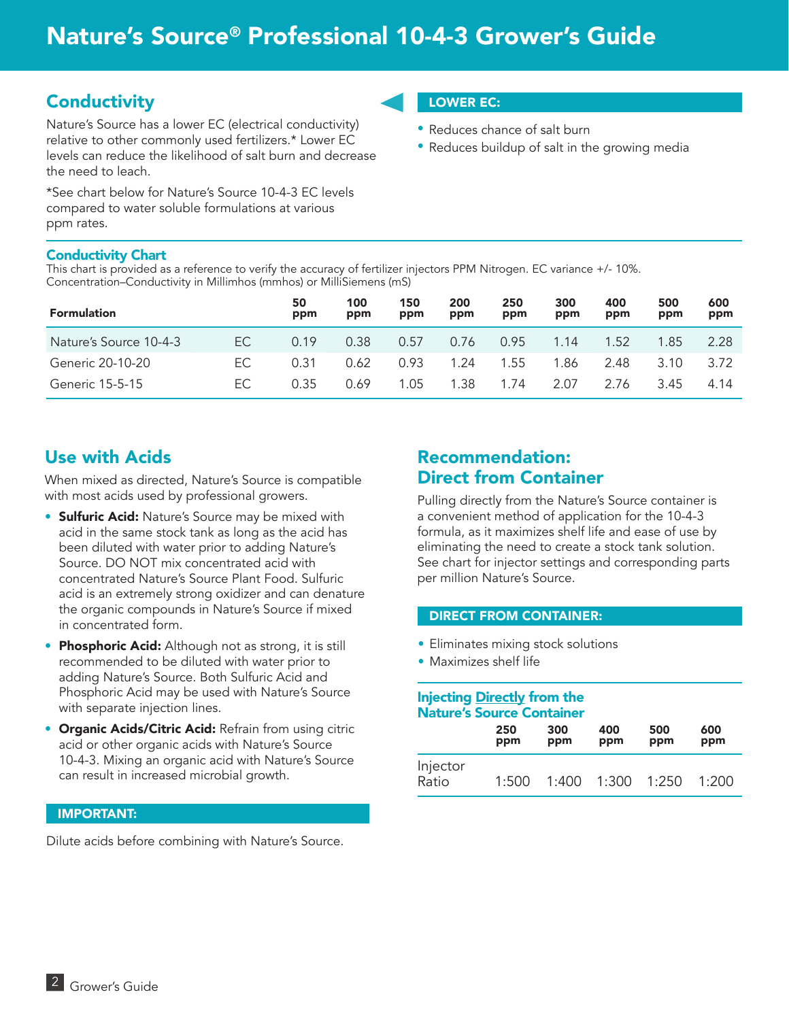## **Conductivity**

Nature's Source has a lower EC (electrical conductivity) relative to other commonly used fertilizers.\* Lower EC levels can reduce the likelihood of salt burn and decrease the need to leach.

\*See chart below for Nature's Source 10-4-3 EC levels compared to water soluble formulations at various ppm rates.

#### Conductivity Chart

This chart is provided as a reference to verify the accuracy of fertilizer injectors PPM Nitrogen. EC variance +/- 10%. Concentration–Conductivity in Millimhos (mmhos) or MilliSiemens (mS)

| <b>Formulation</b>     |     | 50<br>ppm | 100<br>ppm | 150<br>ppm | 200<br>ppm | 250<br>ppm | 300<br>ppm | 400<br>ppm | 500<br>ppm | 600<br>ppm |
|------------------------|-----|-----------|------------|------------|------------|------------|------------|------------|------------|------------|
| Nature's Source 10-4-3 | EC. | 0.19      | 0.38       | 0.57       | 0.76       | 0.95       | 1.14       | 1.52       | 1.85       | 2.28       |
| Generic 20-10-20       | EC. | 0.31      | 0.62       | 0.93       | 1.24       | 1.55       | 1.86       | 2.48       | 3.10       | 3.72       |
| Generic 15-5-15        | EC. | 0.35      | 0.69       | 1.05       | 1.38       | 1.74       | 2.07       | 2.76       | 3.45       | 4.14       |

## Use with Acids

When mixed as directed, Nature's Source is compatible with most acids used by professional growers.

- **Sulfuric Acid:** Nature's Source may be mixed with acid in the same stock tank as long as the acid has been diluted with water prior to adding Nature's Source. DO NOT mix concentrated acid with concentrated Nature's Source Plant Food. Sulfuric acid is an extremely strong oxidizer and can denature the organic compounds in Nature's Source if mixed in concentrated form.
- Phosphoric Acid: Although not as strong, it is still recommended to be diluted with water prior to adding Nature's Source. Both Sulfuric Acid and Phosphoric Acid may be used with Nature's Source with separate injection lines.
- Organic Acids/Citric Acid: Refrain from using citric acid or other organic acids with Nature's Source 10-4-3. Mixing an organic acid with Nature's Source can result in increased microbial growth.

#### IMPORTANT:

Dilute acids before combining with Nature's Source.

## Recommendation: Direct from Container

• Reduces chance of salt burn

LOWER EC:

• Reduces buildup of salt in the growing media

Pulling directly from the Nature's Source container is a convenient method of application for the 10-4-3 formula, as it maximizes shelf life and ease of use by eliminating the need to create a stock tank solution. See chart for injector settings and corresponding parts per million Nature's Source.

#### DIRECT FROM CONTAINER:

- Eliminates mixing stock solutions
- Maximizes shelf life

#### Injecting Directly from the Nature's Source Container

|                   | 250   | 300   | 400   | 500   | 600   |
|-------------------|-------|-------|-------|-------|-------|
|                   | ppm   | ppm   | ppm   | ppm   | ppm   |
| Injector<br>Ratio | 1:500 | 1:400 | 1:300 | 1:250 | 1:200 |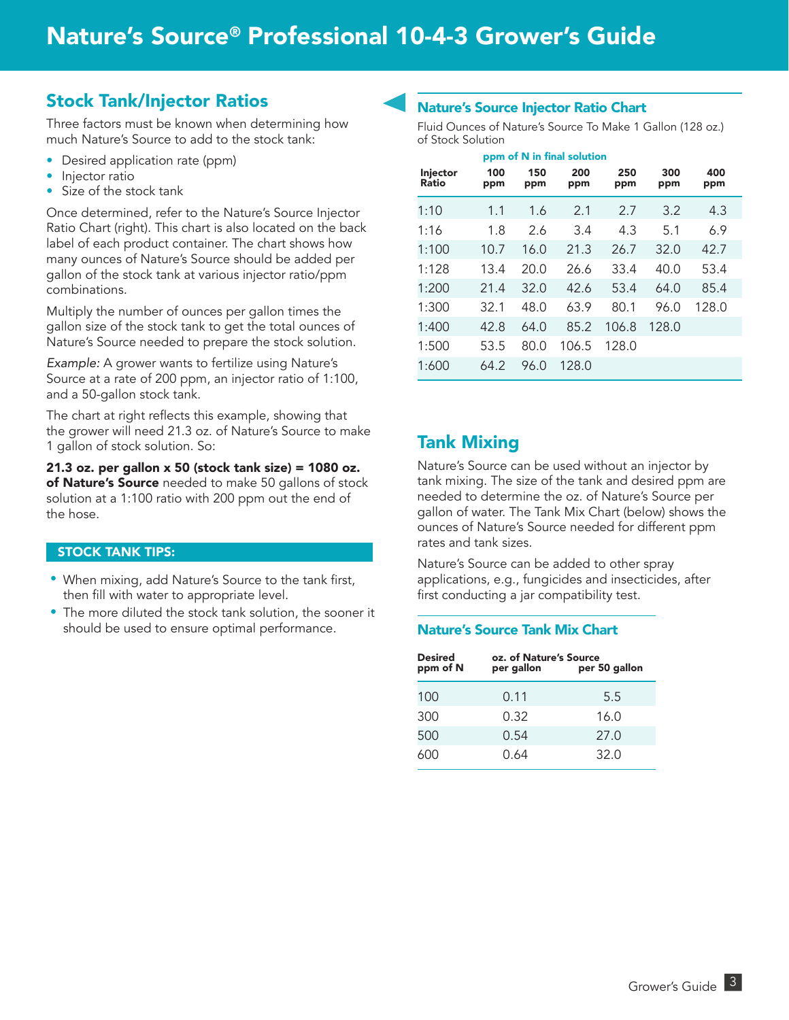## Stock Tank/Injector Ratios

Three factors must be known when determining how much Nature's Source to add to the stock tank:

- Desired application rate (ppm)
- Injector ratio
- Size of the stock tank

Once determined, refer to the Nature's Source Injector Ratio Chart (right). This chart is also located on the back label of each product container. The chart shows how many ounces of Nature's Source should be added per gallon of the stock tank at various injector ratio/ppm combinations.

Multiply the number of ounces per gallon times the gallon size of the stock tank to get the total ounces of Nature's Source needed to prepare the stock solution.

*Example:* A grower wants to fertilize using Nature's Source at a rate of 200 ppm, an injector ratio of 1:100, and a 50-gallon stock tank.

The chart at right reflects this example, showing that the grower will need 21.3 oz. of Nature's Source to make 1 gallon of stock solution. So:

21.3 oz. per gallon x 50 (stock tank size) = 1080 oz. of Nature's Source needed to make 50 gallons of stock solution at a 1:100 ratio with 200 ppm out the end of the hose.

#### STOCK TANK TIPS:

- When mixing, add Nature's Source to the tank first, then fill with water to appropriate level.
- The more diluted the stock tank solution, the sooner it should be used to ensure optimal performance.

Nature's Source Injector Ratio Chart

Fluid Ounces of Nature's Source To Make 1 Gallon (128 oz.) of Stock Solution

| ppm of N in final solution |            |            |            |            |            |            |
|----------------------------|------------|------------|------------|------------|------------|------------|
| Injector<br>Ratio          | 100<br>ppm | 150<br>ppm | 200<br>ppm | 250<br>ppm | 300<br>ppm | 400<br>ppm |
| 1:10                       | 1.1        | 1.6        | 2.1        | 2.7        | 3.2        | 4.3        |
| 1:16                       | 1.8        | 2.6        | 3.4        | 4.3        | 5.1        | 6.9        |
| 1:100                      | 10.7       | 16.0       | 21.3       | 26.7       | 32.0       | 42.7       |
| 1:128                      | 13.4       | 20.0       | 26.6       | 33.4       | 40.0       | 53.4       |
| 1:200                      | 21.4       | 32.0       | 42.6       | 53.4       | 64.0       | 85.4       |
| 1:300                      | 32.1       | 48.0       | 63.9       | 80.1       | 96.0       | 128.0      |
| 1:400                      | 42.8       | 64.0       | 85.2       | 106.8      | 128.0      |            |
| 1:500                      | 53.5       | 80.0       | 106.5      | 128.0      |            |            |
| 1:600                      | 64.2       | 96.0       | 128.0      |            |            |            |

## Tank Mixing

Nature's Source can be used without an injector by tank mixing. The size of the tank and desired ppm are needed to determine the oz. of Nature's Source per gallon of water. The Tank Mix Chart (below) shows the ounces of Nature's Source needed for different ppm rates and tank sizes.

Nature's Source can be added to other spray applications, e.g., fungicides and insecticides, after first conducting a jar compatibility test.

#### Nature's Source Tank Mix Chart

| <b>Desired</b><br>ppm of N | oz. of Nature's Source<br>per gallon | per 50 gallon |  |  |  |  |
|----------------------------|--------------------------------------|---------------|--|--|--|--|
| 100                        | 0.11                                 | 5.5           |  |  |  |  |
| 300                        | 0.32                                 | 16.0          |  |  |  |  |
| 500                        | 0.54                                 | 27.0          |  |  |  |  |
| 600                        | 0.64                                 | 32.0          |  |  |  |  |